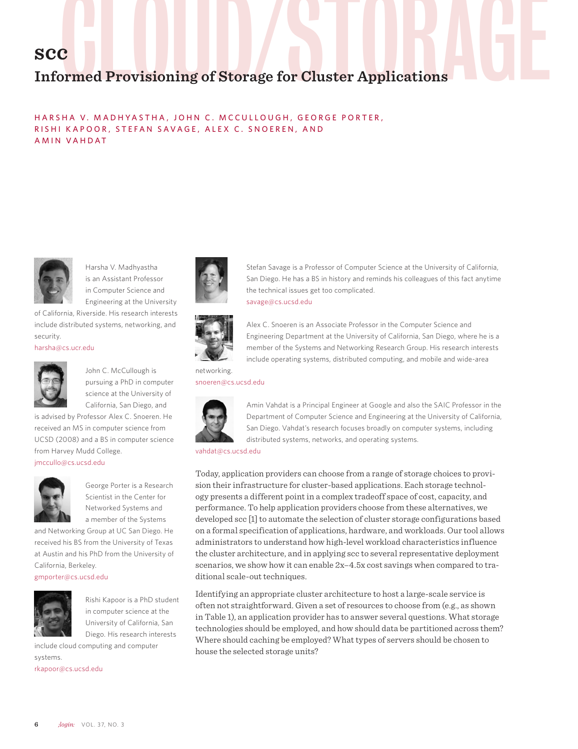# **scc**

# C<br>Drmed Provisioning of Storage for Cluster Applications **Informed Provisioning of Storage for Cluster Applications**

HARSHA V. MADHYASTHA, JOHN C. MCCULLOUGH, GEORGE PORTER, RISHI KAPOOR, STEFAN SAVAGE, ALEX C. SNOEREN, AND AMIN VAHDAT



Harsha V. Madhyastha is an Assistant Professor in Computer Science and Engineering at the University

of California, Riverside. His research interests include distributed systems, networking, and security.

harsha@cs.ucr.edu



John C. McCullough is pursuing a PhD in computer science at the University of California, San Diego, and

is advised by Professor Alex C. Snoeren. He received an MS in computer science from UCSD (2008) and a BS in computer science from Harvey Mudd College. jmccullo@cs.ucsd.edu



George Porter is a Research Scientist in the Center for Networked Systems and a member of the Systems

and Networking Group at UC San Diego. He received his BS from the University of Texas at Austin and his PhD from the University of California, Berkeley.

gmporter@cs.ucsd.edu



Rishi Kapoor is a PhD student in computer science at the University of California, San Diego. His research interests

include cloud computing and computer systems.

rkapoor@cs.ucsd.edu





Stefan Savage is a Professor of Computer Science at the University of California, San Diego. He has a BS in history and reminds his colleagues of this fact anytime the technical issues get too complicated. savage@cs.ucsd.edu



Alex C. Snoeren is an Associate Professor in the Computer Science and Engineering Department at the University of California, San Diego, where he is a member of the Systems and Networking Research Group. His research interests include operating systems, distributed computing, and mobile and wide-area

snoeren@cs.ucsd.edu



Amin Vahdat is a Principal Engineer at Google and also the SAIC Professor in the Department of Computer Science and Engineering at the University of California, San Diego. Vahdat's research focuses broadly on computer systems, including distributed systems, networks, and operating systems.

vahdat@cs.ucsd.edu

Today, application providers can choose from a range of storage choices to provision their infrastructure for cluster-based applications. Each storage technology presents a different point in a complex tradeoff space of cost, capacity, and performance. To help application providers choose from these alternatives, we developed scc [1] to automate the selection of cluster storage configurations based on a formal specification of applications, hardware, and workloads. Our tool allows administrators to understand how high-level workload characteristics influence the cluster architecture, and in applying scc to several representative deployment scenarios, we show how it can enable 2x–4.5x cost savings when compared to traditional scale-out techniques.

Identifying an appropriate cluster architecture to host a large-scale service is often not straightforward. Given a set of resources to choose from (e.g., as shown in Table 1), an application provider has to answer several questions. What storage technologies should be employed, and how should data be partitioned across them? Where should caching be employed? What types of servers should be chosen to house the selected storage units?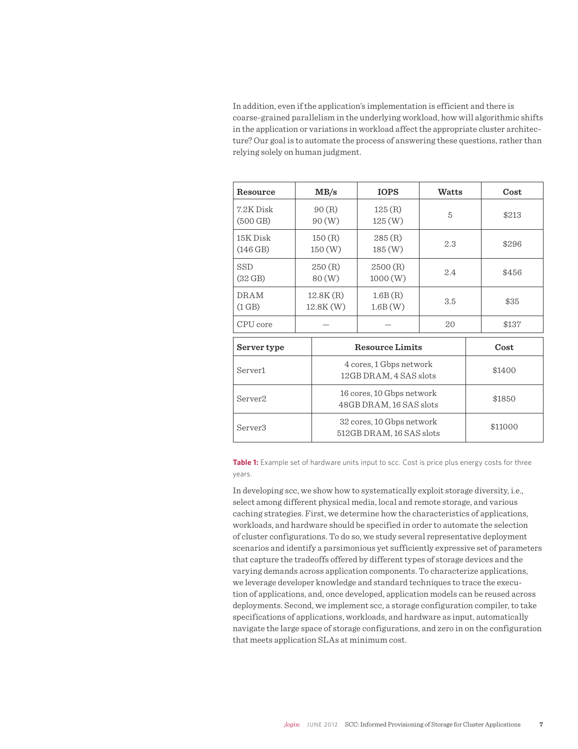In addition, even if the application's implementation is efficient and there is coarse-grained parallelism in the underlying workload, how will algorithmic shifts in the application or variations in workload affect the appropriate cluster architecture? Our goal is to automate the process of answering these questions, rather than relying solely on human judgment.

| Resource                        |                                                   | MB/s                                                  | <b>IOPS</b>            | Watts |  | Cost    |
|---------------------------------|---------------------------------------------------|-------------------------------------------------------|------------------------|-------|--|---------|
| 7.2K Disk<br>$(500$ GB)         |                                                   | 90(R)<br>90(W)                                        | 125 (R)<br>125(W)      | 5     |  | \$213   |
| 15K Disk<br>(146 GB)            |                                                   | 150(R)<br>150(W)                                      | 285(R)<br>185(W)       | 2.3   |  | \$296   |
| <b>SSD</b><br>$(32 \text{ GB})$ |                                                   | 250(R)<br>80(W)                                       | 2500(R)<br>1000(W)     | 2.4   |  | \$456   |
| <b>DRAM</b><br>(1 GB)           |                                                   | 12.8K(R)<br>12.8K(W)                                  | 1.6B(R)<br>1.6B(W)     | 3.5   |  | \$35    |
| CPU core                        |                                                   |                                                       |                        | 20    |  | \$137   |
| Server type                     |                                                   |                                                       | <b>Resource Limits</b> |       |  | Cost    |
| Server <sub>1</sub>             | 4 cores, 1 Gbps network<br>12GB DRAM, 4 SAS slots |                                                       |                        |       |  | \$1400  |
| Server <sub>2</sub>             |                                                   | 16 cores, 10 Gbps network<br>48GB DRAM, 16 SAS slots  |                        |       |  | \$1850  |
| Server3                         |                                                   | 32 cores, 10 Gbps network<br>512GB DRAM, 16 SAS slots |                        |       |  | \$11000 |

**Table 1:** Example set of hardware units input to scc. Cost is price plus energy costs for three years.

In developing scc, we show how to systematically exploit storage diversity, i.e., select among different physical media, local and remote storage, and various caching strategies. First, we determine how the characteristics of applications, workloads, and hardware should be specified in order to automate the selection of cluster configurations. To do so, we study several representative deployment scenarios and identify a parsimonious yet sufficiently expressive set of parameters that capture the tradeoffs offered by different types of storage devices and the varying demands across application components. To characterize applications, we leverage developer knowledge and standard techniques to trace the execution of applications, and, once developed, application models can be reused across deployments. Second, we implement scc, a storage configuration compiler, to take specifications of applications, workloads, and hardware as input, automatically navigate the large space of storage configurations, and zero in on the configuration that meets application SLAs at minimum cost.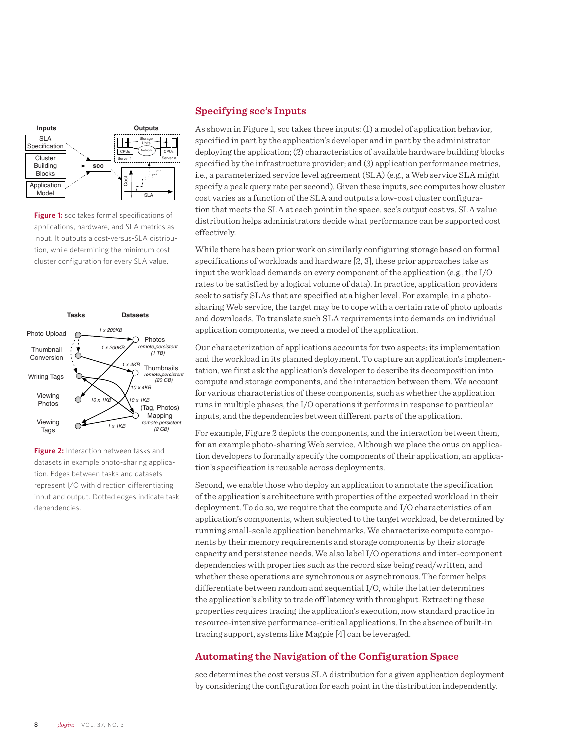

**Figure 1:** scc takes formal specifications of applications, hardware, and SLA metrics as input. It outputs a cost-versus-SLA distribution, while determining the minimum cost cluster configuration for every SLA value.



**Figure 2:** Interaction between tasks and datasets in example photo-sharing application. Edges between tasks and datasets represent I/O with direction differentiating input and output. Dotted edges indicate task dependencies.

#### **Specifying scc's Inputs**

As shown in Figure 1, scc takes three inputs: (1) a model of application behavior, specified in part by the application's developer and in part by the administrator deploying the application; (2) characteristics of available hardware building blocks specified by the infrastructure provider; and (3) application performance metrics, i.e., a parameterized service level agreement (SLA) (e.g., a Web service SLA might specify a peak query rate per second). Given these inputs, scc computes how cluster cost varies as a function of the SLA and outputs a low-cost cluster configuration that meets the SLA at each point in the space. scc's output cost vs. SLA value distribution helps administrators decide what performance can be supported cost effectively.

While there has been prior work on similarly configuring storage based on formal specifications of workloads and hardware [2, 3], these prior approaches take as input the workload demands on every component of the application (e.g., the I/O rates to be satisfied by a logical volume of data). In practice, application providers seek to satisfy SLAs that are specified at a higher level. For example, in a photosharing Web service, the target may be to cope with a certain rate of photo uploads and downloads. To translate such SLA requirements into demands on individual application components, we need a model of the application.

Our characterization of applications accounts for two aspects: its implementation and the workload in its planned deployment. To capture an application's implementation, we first ask the application's developer to describe its decomposition into compute and storage components, and the interaction between them. We account for various characteristics of these components, such as whether the application runs in multiple phases, the I/O operations it performs in response to particular inputs, and the dependencies between different parts of the application.

For example, Figure 2 depicts the components, and the interaction between them, for an example photo-sharing Web service. Although we place the onus on application developers to formally specify the components of their application, an application's specification is reusable across deployments.

Second, we enable those who deploy an application to annotate the specification of the application's architecture with properties of the expected workload in their deployment. To do so, we require that the compute and I/O characteristics of an application's components, when subjected to the target workload, be determined by running small-scale application benchmarks. We characterize compute components by their memory requirements and storage components by their storage capacity and persistence needs. We also label I/O operations and inter-component dependencies with properties such as the record size being read/written, and whether these operations are synchronous or asynchronous. The former helps differentiate between random and sequential I/O, while the latter determines the application's ability to trade off latency with throughput. Extracting these properties requires tracing the application's execution, now standard practice in resource-intensive performance-critical applications. In the absence of built-in tracing support, systems like Magpie [4] can be leveraged.

#### **Automating the Navigation of the Configuration Space**

scc determines the cost versus SLA distribution for a given application deployment by considering the configuration for each point in the distribution independently.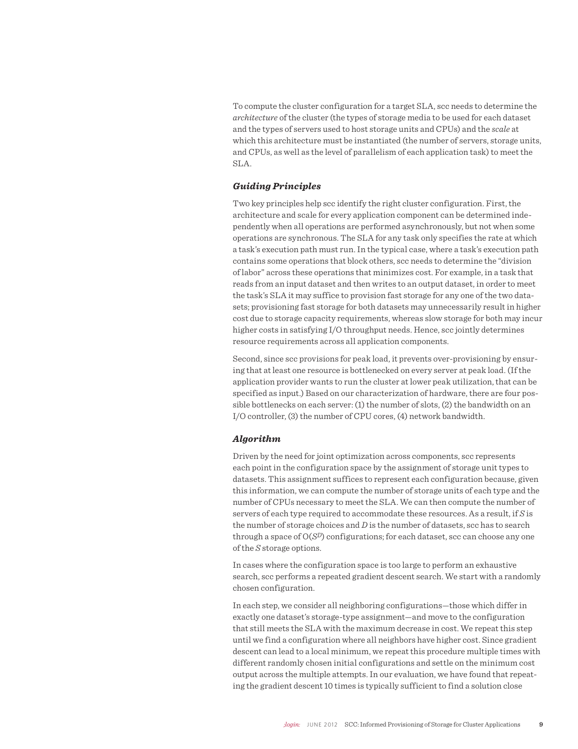To compute the cluster configuration for a target SLA, scc needs to determine the *architecture* of the cluster (the types of storage media to be used for each dataset and the types of servers used to host storage units and CPUs) and the *scale* at which this architecture must be instantiated (the number of servers, storage units, and CPUs, as well as the level of parallelism of each application task) to meet the SLA.

#### *Guiding Principles*

Two key principles help scc identify the right cluster configuration. First, the architecture and scale for every application component can be determined independently when all operations are performed asynchronously, but not when some operations are synchronous. The SLA for any task only specifies the rate at which a task's execution path must run. In the typical case, where a task's execution path contains some operations that block others, scc needs to determine the "division of labor" across these operations that minimizes cost. For example, in a task that reads from an input dataset and then writes to an output dataset, in order to meet the task's SLA it may suffice to provision fast storage for any one of the two datasets; provisioning fast storage for both datasets may unnecessarily result in higher cost due to storage capacity requirements, whereas slow storage for both may incur higher costs in satisfying I/O throughput needs. Hence, scc jointly determines resource requirements across all application components.

Second, since scc provisions for peak load, it prevents over-provisioning by ensuring that at least one resource is bottlenecked on every server at peak load. (If the application provider wants to run the cluster at lower peak utilization, that can be specified as input.) Based on our characterization of hardware, there are four possible bottlenecks on each server: (1) the number of slots, (2) the bandwidth on an I/O controller, (3) the number of CPU cores, (4) network bandwidth.

#### *Algorithm*

Driven by the need for joint optimization across components, scc represents each point in the configuration space by the assignment of storage unit types to datasets. This assignment suffices to represent each configuration because, given this information, we can compute the number of storage units of each type and the number of CPUs necessary to meet the SLA. We can then compute the number of servers of each type required to accommodate these resources. As a result, if *S* is the number of storage choices and *D* is the number of datasets, scc has to search through a space of O(*SD*) configurations; for each dataset, scc can choose any one of the *S* storage options.

In cases where the configuration space is too large to perform an exhaustive search, scc performs a repeated gradient descent search. We start with a randomly chosen configuration.

In each step, we consider all neighboring configurations—those which differ in exactly one dataset's storage-type assignment—and move to the configuration that still meets the SLA with the maximum decrease in cost. We repeat this step until we find a configuration where all neighbors have higher cost. Since gradient descent can lead to a local minimum, we repeat this procedure multiple times with different randomly chosen initial configurations and settle on the minimum cost output across the multiple attempts. In our evaluation, we have found that repeating the gradient descent 10 times is typically sufficient to find a solution close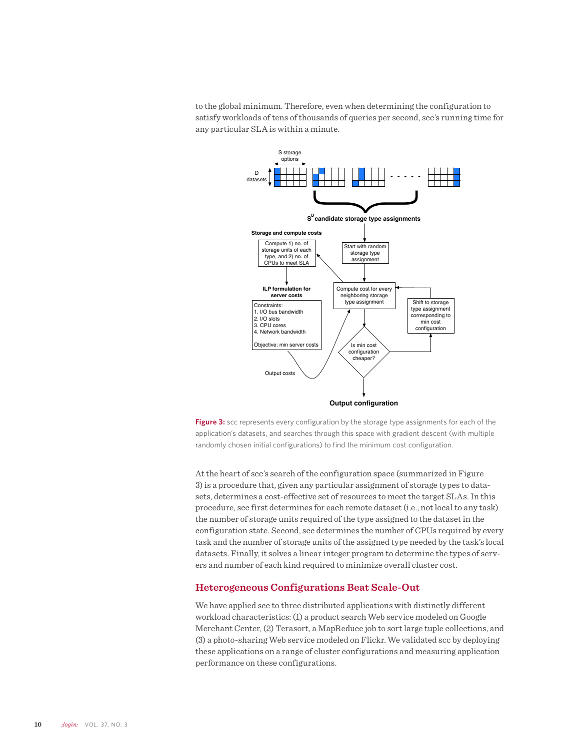to the global minimum. Therefore, even when determining the configuration to satisfy workloads of tens of thousands of queries per second, scc's running time for any particular SLA is within a minute.



**Figure 3:** scc represents every configuration by the storage type assignments for each of the application's datasets, and searches through this space with gradient descent (with multiple randomly chosen initial configurations) to find the minimum cost configuration.

At the heart of scc's search of the configuration space (summarized in Figure 3) is a procedure that, given any particular assignment of storage types to datasets, determines a cost-effective set of resources to meet the target SLAs. In this procedure, scc first determines for each remote dataset (i.e., not local to any task) the number of storage units required of the type assigned to the dataset in the configuration state. Second, scc determines the number of CPUs required by every task and the number of storage units of the assigned type needed by the task's local datasets. Finally, it solves a linear integer program to determine the types of servers and number of each kind required to minimize overall cluster cost.

#### **Heterogeneous Configurations Beat Scale-Out**

We have applied scc to three distributed applications with distinctly different workload characteristics: (1) a product search Web service modeled on Google Merchant Center, (2) Terasort, a MapReduce job to sort large tuple collections, and (3) a photo-sharing Web service modeled on Flickr. We validated scc by deploying these applications on a range of cluster configurations and measuring application performance on these configurations.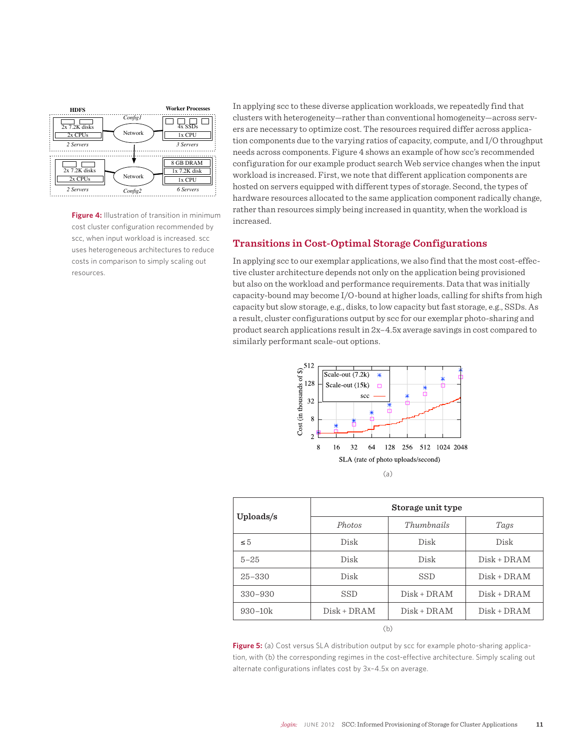

**Figure 4:** Illustration of transition in minimum cost cluster configuration recommended by scc, when input workload is increased. scc uses heterogeneous architectures to reduce costs in comparison to simply scaling out resources.

In applying scc to these diverse application workloads, we repeatedly find that clusters with heterogeneity—rather than conventional homogeneity—across servers are necessary to optimize cost. The resources required differ across application components due to the varying ratios of capacity, compute, and I/O throughput needs across components. Figure 4 shows an example of how scc's recommended configuration for our example product search Web service changes when the input workload is increased. First, we note that different application components are hosted on servers equipped with different types of storage. Second, the types of hardware resources allocated to the same application component radically change, rather than resources simply being increased in quantity, when the workload is increased.

#### **Transitions in Cost-Optimal Storage Configurations**

In applying scc to our exemplar applications, we also find that the most cost-effective cluster architecture depends not only on the application being provisioned but also on the workload and performance requirements. Data that was initially capacity-bound may become I/O-bound at higher loads, calling for shifts from high capacity but slow storage, e.g., disks, to low capacity but fast storage, e.g., SSDs. As a result, cluster configurations output by scc for our exemplar photo-sharing and product search applications result in 2x–4.5x average savings in cost compared to similarly performant scale-out options.



| Uploads/s   | Storage unit type |               |               |  |  |  |
|-------------|-------------------|---------------|---------------|--|--|--|
|             | Photos            | Thumbnails    | Tags          |  |  |  |
| $\leq 5$    | Disk              | Disk          | Disk          |  |  |  |
| $5 - 25$    | Disk              | Disk          | $Disk + DRAM$ |  |  |  |
| $25 - 330$  | Disk              | <b>SSD</b>    | $Disk + DRAM$ |  |  |  |
| $330 - 930$ | <b>SSD</b>        | $Disk + DRAM$ | $Disk + DRAM$ |  |  |  |
| $930 - 10k$ | $Disk + DRAM$     | $Disk + DRAM$ | $Disk + DRAM$ |  |  |  |
| (b)         |                   |               |               |  |  |  |

Figure 5: (a) Cost versus SLA distribution output by scc for example photo-sharing application, with (b) the corresponding regimes in the cost-effective architecture. Simply scaling out alternate configurations inflates cost by 3x–4.5x on average.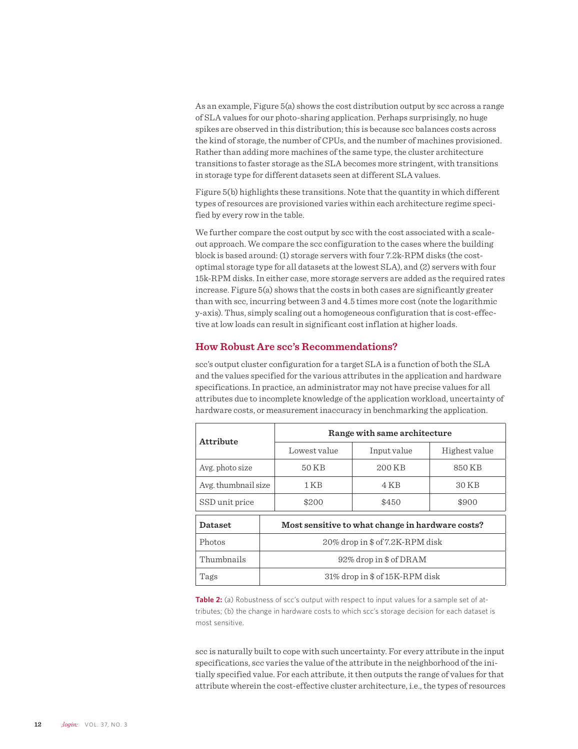As an example, Figure 5(a) shows the cost distribution output by scc across a range of SLA values for our photo-sharing application. Perhaps surprisingly, no huge spikes are observed in this distribution; this is because scc balances costs across the kind of storage, the number of CPUs, and the number of machines provisioned. Rather than adding more machines of the same type, the cluster architecture transitions to faster storage as the SLA becomes more stringent, with transitions in storage type for different datasets seen at different SLA values.

Figure 5(b) highlights these transitions. Note that the quantity in which different types of resources are provisioned varies within each architecture regime specified by every row in the table.

We further compare the cost output by scc with the cost associated with a scaleout approach. We compare the scc configuration to the cases where the building block is based around: (1) storage servers with four 7.2k-RPM disks (the costoptimal storage type for all datasets at the lowest SLA), and (2) servers with four 15k-RPM disks. In either case, more storage servers are added as the required rates increase. Figure 5(a) shows that the costs in both cases are significantly greater than with scc, incurring between 3 and 4.5 times more cost (note the logarithmic y-axis). Thus, simply scaling out a homogeneous configuration that is cost-effective at low loads can result in significant cost inflation at higher loads.

#### **How Robust Are scc's Recommendations?**

scc's output cluster configuration for a target SLA is a function of both the SLA and the values specified for the various attributes in the application and hardware specifications. In practice, an administrator may not have precise values for all attributes due to incomplete knowledge of the application workload, uncertainty of hardware costs, or measurement inaccuracy in benchmarking the application.

| Attribute           | Range with same architecture                     |             |               |  |  |  |
|---------------------|--------------------------------------------------|-------------|---------------|--|--|--|
|                     | Lowest value                                     | Input value | Highest value |  |  |  |
| Avg. photo size     | 50 KB                                            | 200 KB      | 850 KB        |  |  |  |
| Avg. thumbnail size | 1 K B                                            | 4 K B       | 30 KB         |  |  |  |
| SSD unit price      | \$200                                            | \$450       | \$900         |  |  |  |
| Dataset             | Most sensitive to what change in hardware costs? |             |               |  |  |  |
| Photos              | 20% drop in \$ of 7.2K-RPM disk                  |             |               |  |  |  |
| Thumbnails          | 92% drop in \$ of DRAM                           |             |               |  |  |  |
| Tags                | 31% drop in \$ of 15K-RPM disk                   |             |               |  |  |  |

Table 2: (a) Robustness of scc's output with respect to input values for a sample set of attributes; (b) the change in hardware costs to which scc's storage decision for each dataset is most sensitive.

scc is naturally built to cope with such uncertainty. For every attribute in the input specifications, scc varies the value of the attribute in the neighborhood of the initially specified value. For each attribute, it then outputs the range of values for that attribute wherein the cost-effective cluster architecture, i.e., the types of resources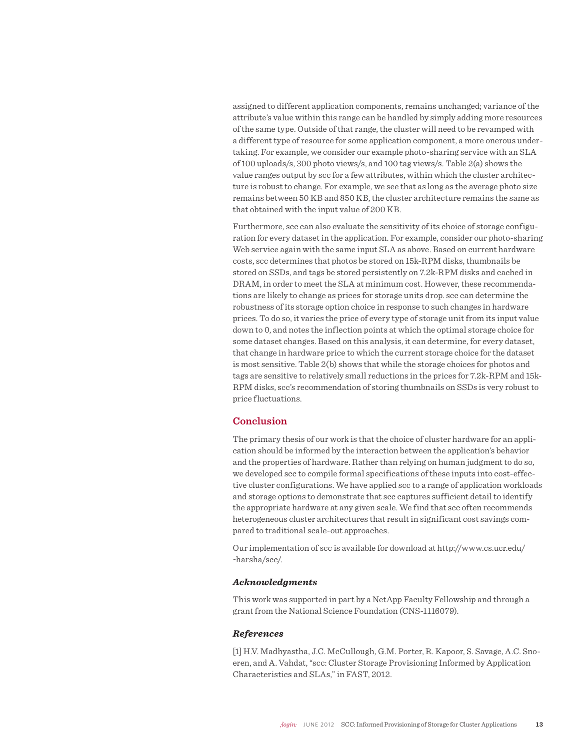assigned to different application components, remains unchanged; variance of the attribute's value within this range can be handled by simply adding more resources of the same type. Outside of that range, the cluster will need to be revamped with a different type of resource for some application component, a more onerous undertaking. For example, we consider our example photo-sharing service with an SLA of 100 uploads/s, 300 photo views/s, and 100 tag views/s. Table 2(a) shows the value ranges output by scc for a few attributes, within which the cluster architecture is robust to change. For example, we see that as long as the average photo size remains between 50 KB and 850 KB, the cluster architecture remains the same as that obtained with the input value of 200 KB.

Furthermore, scc can also evaluate the sensitivity of its choice of storage configuration for every dataset in the application. For example, consider our photo-sharing Web service again with the same input SLA as above. Based on current hardware costs, scc determines that photos be stored on 15k-RPM disks, thumbnails be stored on SSDs, and tags be stored persistently on 7.2k-RPM disks and cached in DRAM, in order to meet the SLA at minimum cost. However, these recommendations are likely to change as prices for storage units drop. scc can determine the robustness of its storage option choice in response to such changes in hardware prices. To do so, it varies the price of every type of storage unit from its input value down to 0, and notes the inflection points at which the optimal storage choice for some dataset changes. Based on this analysis, it can determine, for every dataset, that change in hardware price to which the current storage choice for the dataset is most sensitive. Table 2(b) shows that while the storage choices for photos and tags are sensitive to relatively small reductions in the prices for 7.2k-RPM and 15k-RPM disks, scc's recommendation of storing thumbnails on SSDs is very robust to price fluctuations.

#### **Conclusion**

The primary thesis of our work is that the choice of cluster hardware for an application should be informed by the interaction between the application's behavior and the properties of hardware. Rather than relying on human judgment to do so, we developed scc to compile formal specifications of these inputs into cost-effective cluster configurations. We have applied scc to a range of application workloads and storage options to demonstrate that scc captures sufficient detail to identify the appropriate hardware at any given scale. We find that scc often recommends heterogeneous cluster architectures that result in significant cost savings compared to traditional scale-out approaches.

Our implementation of scc is available for download at http://www.cs.ucr.edu/ ~harsha/scc/.

#### *Acknowledgments*

This work was supported in part by a NetApp Faculty Fellowship and through a grant from the National Science Foundation (CNS-1116079).

#### *References*

[1] H.V. Madhyastha, J.C. McCullough, G.M. Porter, R. Kapoor, S. Savage, A.C. Snoeren, and A. Vahdat, "scc: Cluster Storage Provisioning Informed by Application Characteristics and SLAs," in FAST, 2012.